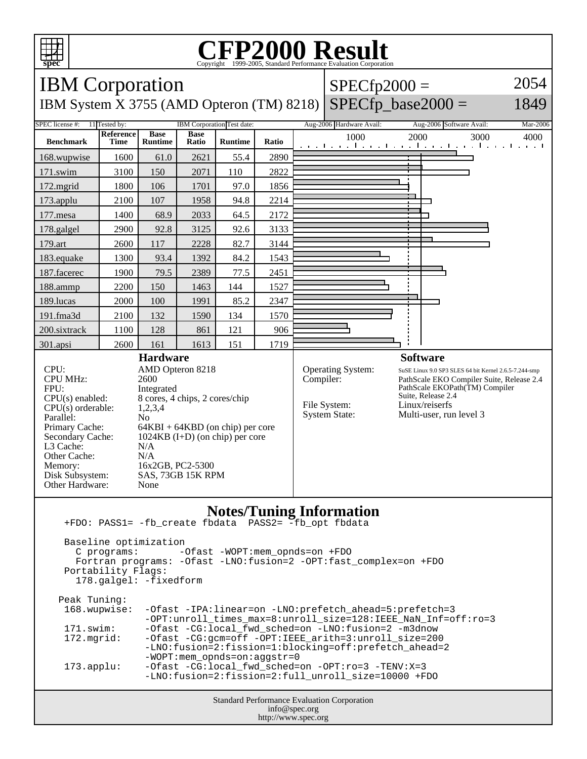

## **CFP2000 Result** Copyright ©1999-2005, Standard I



| Peak Tuning:<br>168.wupwise: | -Ofast -IPA:linear=on -LNO:prefetch_ahead=5:prefetch=3            |
|------------------------------|-------------------------------------------------------------------|
|                              | -OPT: unroll times max=8: unroll size=128: IEEE NaN Inf=off: ro=3 |
| 171.swim:                    | -Ofast -CG:local fwd sched=on -LNO:fusion=2 -m3dnow               |
|                              |                                                                   |
| $172.\text{mgrid}:$          | -Ofast -CG:gcm=off -OPT:IEEE_arith=3:unroll_size=200              |
|                              | -LNO:fusion=2:fission=1:blocking=off:prefetch ahead=2             |
|                              | $-WOPT:$ mem opnds=on:aqqstr=0                                    |
|                              |                                                                   |
| $173.appendu$ :              | $-Ofast -CG:local$ fwd sched=on $-OPT:ro=3$ -TENV:X=3             |
|                              | -LNO:fusion=2:fission=2:full unroll size=10000 +FDO               |
|                              |                                                                   |

Standard Performance Evaluation Corporation info@spec.org http://www.spec.org